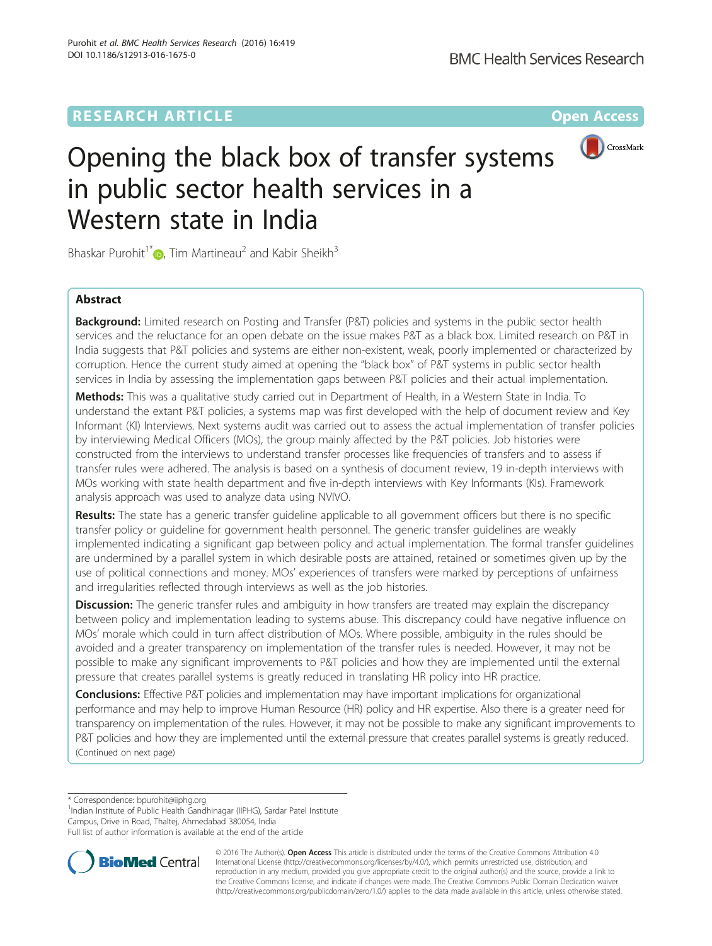# **RESEARCH ARTICLE Example 2014 12:30 The Community Community Community Community Community Community Community**



# Opening the black box of transfer systems in public sector health services in a Western state in India

Bhaskar Purohit<sup>1\*</sup> $\bullet$ [,](http://orcid.org/0000-0002-7427-6371) Tim Martineau<sup>2</sup> and Kabir Sheikh<sup>3</sup>

# Abstract

**Background:** Limited research on Posting and Transfer (P&T) policies and systems in the public sector health services and the reluctance for an open debate on the issue makes P&T as a black box. Limited research on P&T in India suggests that P&T policies and systems are either non-existent, weak, poorly implemented or characterized by corruption. Hence the current study aimed at opening the "black box" of P&T systems in public sector health services in India by assessing the implementation gaps between P&T policies and their actual implementation.

Methods: This was a qualitative study carried out in Department of Health, in a Western State in India. To understand the extant P&T policies, a systems map was first developed with the help of document review and Key Informant (KI) Interviews. Next systems audit was carried out to assess the actual implementation of transfer policies by interviewing Medical Officers (MOs), the group mainly affected by the P&T policies. Job histories were constructed from the interviews to understand transfer processes like frequencies of transfers and to assess if transfer rules were adhered. The analysis is based on a synthesis of document review, 19 in-depth interviews with MOs working with state health department and five in-depth interviews with Key Informants (KIs). Framework analysis approach was used to analyze data using NVIVO.

Results: The state has a generic transfer guideline applicable to all government officers but there is no specific transfer policy or guideline for government health personnel. The generic transfer guidelines are weakly implemented indicating a significant gap between policy and actual implementation. The formal transfer guidelines are undermined by a parallel system in which desirable posts are attained, retained or sometimes given up by the use of political connections and money. MOs' experiences of transfers were marked by perceptions of unfairness and irregularities reflected through interviews as well as the job histories.

**Discussion:** The generic transfer rules and ambiguity in how transfers are treated may explain the discrepancy between policy and implementation leading to systems abuse. This discrepancy could have negative influence on MOs' morale which could in turn affect distribution of MOs. Where possible, ambiguity in the rules should be avoided and a greater transparency on implementation of the transfer rules is needed. However, it may not be possible to make any significant improvements to P&T policies and how they are implemented until the external pressure that creates parallel systems is greatly reduced in translating HR policy into HR practice.

**Conclusions:** Effective P&T policies and implementation may have important implications for organizational performance and may help to improve Human Resource (HR) policy and HR expertise. Also there is a greater need for transparency on implementation of the rules. However, it may not be possible to make any significant improvements to P&T policies and how they are implemented until the external pressure that creates parallel systems is greatly reduced. (Continued on next page)

\* Correspondence: [bpurohit@iiphg.org](mailto:bpurohit@iiphg.org) <sup>1</sup>

<sup>1</sup>Indian Institute of Public Health Gandhinagar (IIPHG), Sardar Patel Institute

Campus, Drive in Road, Thaltej, Ahmedabad 380054, India

Full list of author information is available at the end of the article



© 2016 The Author(s). Open Access This article is distributed under the terms of the Creative Commons Attribution 4.0 International License [\(http://creativecommons.org/licenses/by/4.0/](http://creativecommons.org/licenses/by/4.0/)), which permits unrestricted use, distribution, and reproduction in any medium, provided you give appropriate credit to the original author(s) and the source, provide a link to the Creative Commons license, and indicate if changes were made. The Creative Commons Public Domain Dedication waiver [\(http://creativecommons.org/publicdomain/zero/1.0/](http://creativecommons.org/publicdomain/zero/1.0/)) applies to the data made available in this article, unless otherwise stated.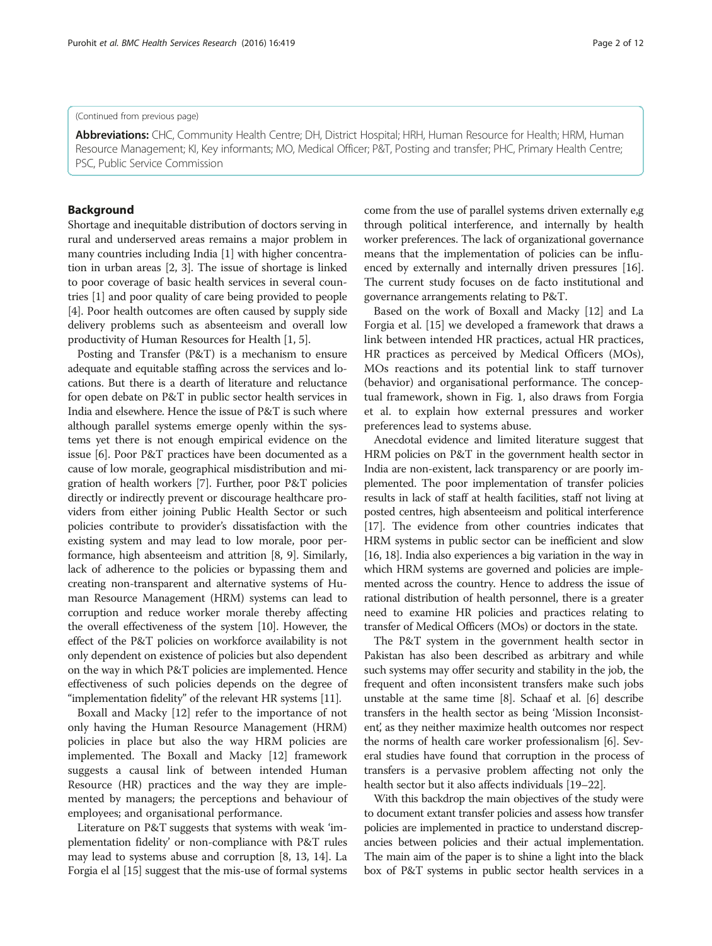#### (Continued from previous page)

Abbreviations: CHC, Community Health Centre; DH, District Hospital; HRH, Human Resource for Health; HRM, Human Resource Management; KI, Key informants; MO, Medical Officer; P&T, Posting and transfer; PHC, Primary Health Centre; PSC, Public Service Commission

# Background

Shortage and inequitable distribution of doctors serving in rural and underserved areas remains a major problem in many countries including India [\[1\]](#page-10-0) with higher concentration in urban areas [\[2](#page-10-0), [3\]](#page-11-0). The issue of shortage is linked to poor coverage of basic health services in several countries [[1\]](#page-10-0) and poor quality of care being provided to people [[4\]](#page-11-0). Poor health outcomes are often caused by supply side delivery problems such as absenteeism and overall low productivity of Human Resources for Health [\[1](#page-10-0), [5\]](#page-11-0).

Posting and Transfer (P&T) is a mechanism to ensure adequate and equitable staffing across the services and locations. But there is a dearth of literature and reluctance for open debate on P&T in public sector health services in India and elsewhere. Hence the issue of P&T is such where although parallel systems emerge openly within the systems yet there is not enough empirical evidence on the issue [\[6](#page-11-0)]. Poor P&T practices have been documented as a cause of low morale, geographical misdistribution and migration of health workers [\[7\]](#page-11-0). Further, poor P&T policies directly or indirectly prevent or discourage healthcare providers from either joining Public Health Sector or such policies contribute to provider's dissatisfaction with the existing system and may lead to low morale, poor performance, high absenteeism and attrition [[8](#page-11-0), [9\]](#page-11-0). Similarly, lack of adherence to the policies or bypassing them and creating non-transparent and alternative systems of Human Resource Management (HRM) systems can lead to corruption and reduce worker morale thereby affecting the overall effectiveness of the system [\[10](#page-11-0)]. However, the effect of the P&T policies on workforce availability is not only dependent on existence of policies but also dependent on the way in which P&T policies are implemented. Hence effectiveness of such policies depends on the degree of "implementation fidelity" of the relevant HR systems [\[11\]](#page-11-0).

Boxall and Macky [[12](#page-11-0)] refer to the importance of not only having the Human Resource Management (HRM) policies in place but also the way HRM policies are implemented. The Boxall and Macky [[12\]](#page-11-0) framework suggests a causal link of between intended Human Resource (HR) practices and the way they are implemented by managers; the perceptions and behaviour of employees; and organisational performance.

Literature on P&T suggests that systems with weak 'implementation fidelity' or non-compliance with P&T rules may lead to systems abuse and corruption [[8](#page-11-0), [13, 14\]](#page-11-0). La Forgia el al [\[15\]](#page-11-0) suggest that the mis-use of formal systems come from the use of parallel systems driven externally e,g through political interference, and internally by health worker preferences. The lack of organizational governance means that the implementation of policies can be influenced by externally and internally driven pressures [[16](#page-11-0)]. The current study focuses on de facto institutional and governance arrangements relating to P&T.

Based on the work of Boxall and Macky [\[12](#page-11-0)] and La Forgia et al. [\[15\]](#page-11-0) we developed a framework that draws a link between intended HR practices, actual HR practices, HR practices as perceived by Medical Officers (MOs), MOs reactions and its potential link to staff turnover (behavior) and organisational performance. The conceptual framework, shown in Fig. [1,](#page-2-0) also draws from Forgia et al. to explain how external pressures and worker preferences lead to systems abuse.

Anecdotal evidence and limited literature suggest that HRM policies on P&T in the government health sector in India are non-existent, lack transparency or are poorly implemented. The poor implementation of transfer policies results in lack of staff at health facilities, staff not living at posted centres, high absenteeism and political interference [[17](#page-11-0)]. The evidence from other countries indicates that HRM systems in public sector can be inefficient and slow [[16](#page-11-0), [18](#page-11-0)]. India also experiences a big variation in the way in which HRM systems are governed and policies are implemented across the country. Hence to address the issue of rational distribution of health personnel, there is a greater need to examine HR policies and practices relating to transfer of Medical Officers (MOs) or doctors in the state.

The P&T system in the government health sector in Pakistan has also been described as arbitrary and while such systems may offer security and stability in the job, the frequent and often inconsistent transfers make such jobs unstable at the same time [\[8\]](#page-11-0). Schaaf et al. [[6](#page-11-0)] describe transfers in the health sector as being 'Mission Inconsistent, as they neither maximize health outcomes nor respect the norms of health care worker professionalism [\[6\]](#page-11-0). Several studies have found that corruption in the process of transfers is a pervasive problem affecting not only the health sector but it also affects individuals [[19](#page-11-0)–[22\]](#page-11-0).

With this backdrop the main objectives of the study were to document extant transfer policies and assess how transfer policies are implemented in practice to understand discrepancies between policies and their actual implementation. The main aim of the paper is to shine a light into the black box of P&T systems in public sector health services in a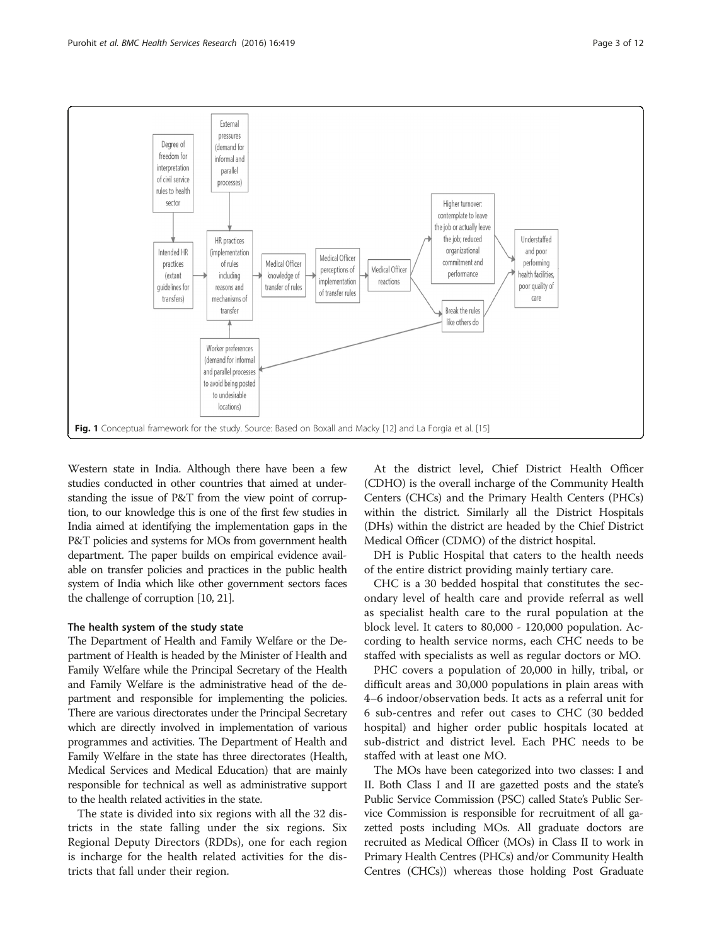<span id="page-2-0"></span>

Western state in India. Although there have been a few studies conducted in other countries that aimed at understanding the issue of P&T from the view point of corruption, to our knowledge this is one of the first few studies in India aimed at identifying the implementation gaps in the P&T policies and systems for MOs from government health department. The paper builds on empirical evidence available on transfer policies and practices in the public health system of India which like other government sectors faces the challenge of corruption [[10](#page-11-0), [21](#page-11-0)].

#### The health system of the study state

The Department of Health and Family Welfare or the Department of Health is headed by the Minister of Health and Family Welfare while the Principal Secretary of the Health and Family Welfare is the administrative head of the department and responsible for implementing the policies. There are various directorates under the Principal Secretary which are directly involved in implementation of various programmes and activities. The Department of Health and Family Welfare in the state has three directorates (Health, Medical Services and Medical Education) that are mainly responsible for technical as well as administrative support to the health related activities in the state.

The state is divided into six regions with all the 32 districts in the state falling under the six regions. Six Regional Deputy Directors (RDDs), one for each region is incharge for the health related activities for the districts that fall under their region.

At the district level, Chief District Health Officer (CDHO) is the overall incharge of the Community Health Centers (CHCs) and the Primary Health Centers (PHCs) within the district. Similarly all the District Hospitals (DHs) within the district are headed by the Chief District Medical Officer (CDMO) of the district hospital.

DH is Public Hospital that caters to the health needs of the entire district providing mainly tertiary care.

CHC is a 30 bedded hospital that constitutes the secondary level of health care and provide referral as well as specialist health care to the rural population at the block level. It caters to 80,000 - 120,000 population. According to health service norms, each CHC needs to be staffed with specialists as well as regular doctors or MO.

PHC covers a population of 20,000 in hilly, tribal, or difficult areas and 30,000 populations in plain areas with 4–6 indoor/observation beds. It acts as a referral unit for 6 sub-centres and refer out cases to CHC (30 bedded hospital) and higher order public hospitals located at sub-district and district level. Each PHC needs to be staffed with at least one MO.

The MOs have been categorized into two classes: I and II. Both Class I and II are gazetted posts and the state's Public Service Commission (PSC) called State's Public Service Commission is responsible for recruitment of all gazetted posts including MOs. All graduate doctors are recruited as Medical Officer (MOs) in Class II to work in Primary Health Centres (PHCs) and/or Community Health Centres (CHCs)) whereas those holding Post Graduate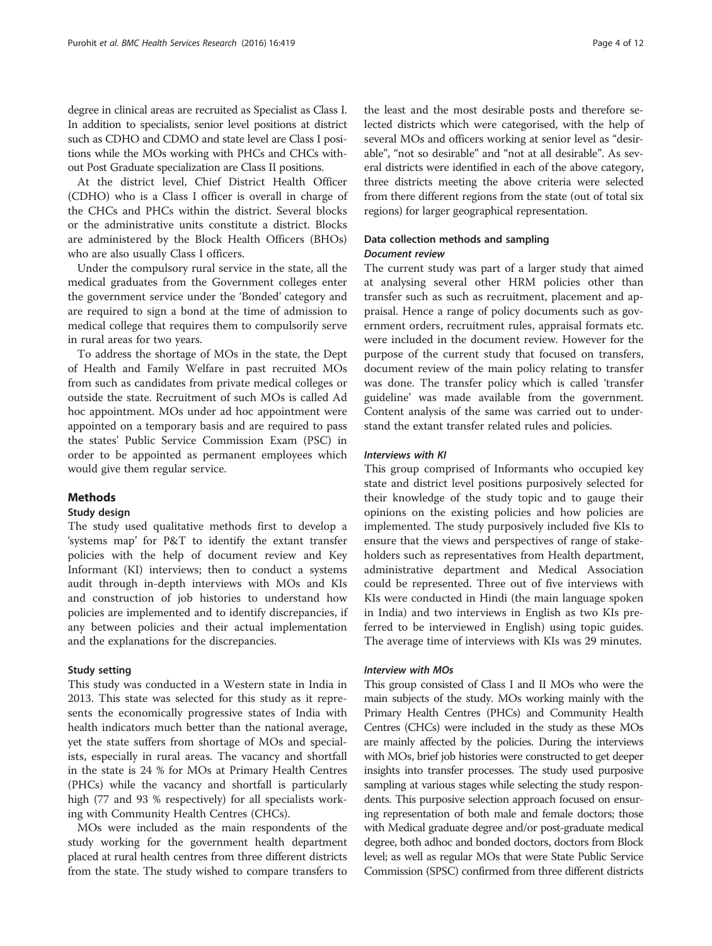degree in clinical areas are recruited as Specialist as Class I. In addition to specialists, senior level positions at district such as CDHO and CDMO and state level are Class I positions while the MOs working with PHCs and CHCs without Post Graduate specialization are Class II positions.

At the district level, Chief District Health Officer (CDHO) who is a Class I officer is overall in charge of the CHCs and PHCs within the district. Several blocks or the administrative units constitute a district. Blocks are administered by the Block Health Officers (BHOs) who are also usually Class I officers.

Under the compulsory rural service in the state, all the medical graduates from the Government colleges enter the government service under the 'Bonded' category and are required to sign a bond at the time of admission to medical college that requires them to compulsorily serve in rural areas for two years.

To address the shortage of MOs in the state, the Dept of Health and Family Welfare in past recruited MOs from such as candidates from private medical colleges or outside the state. Recruitment of such MOs is called Ad hoc appointment. MOs under ad hoc appointment were appointed on a temporary basis and are required to pass the states' Public Service Commission Exam (PSC) in order to be appointed as permanent employees which would give them regular service.

#### Methods

#### Study design

The study used qualitative methods first to develop a 'systems map' for P&T to identify the extant transfer policies with the help of document review and Key Informant (KI) interviews; then to conduct a systems audit through in-depth interviews with MOs and KIs and construction of job histories to understand how policies are implemented and to identify discrepancies, if any between policies and their actual implementation and the explanations for the discrepancies.

#### Study setting

This study was conducted in a Western state in India in 2013. This state was selected for this study as it represents the economically progressive states of India with health indicators much better than the national average, yet the state suffers from shortage of MOs and specialists, especially in rural areas. The vacancy and shortfall in the state is 24 % for MOs at Primary Health Centres (PHCs) while the vacancy and shortfall is particularly high (77 and 93 % respectively) for all specialists working with Community Health Centres (CHCs).

MOs were included as the main respondents of the study working for the government health department placed at rural health centres from three different districts from the state. The study wished to compare transfers to

the least and the most desirable posts and therefore selected districts which were categorised, with the help of several MOs and officers working at senior level as "desirable", "not so desirable" and "not at all desirable". As several districts were identified in each of the above category, three districts meeting the above criteria were selected from there different regions from the state (out of total six regions) for larger geographical representation.

# Data collection methods and sampling Document review

The current study was part of a larger study that aimed at analysing several other HRM policies other than transfer such as such as recruitment, placement and appraisal. Hence a range of policy documents such as government orders, recruitment rules, appraisal formats etc. were included in the document review. However for the purpose of the current study that focused on transfers, document review of the main policy relating to transfer was done. The transfer policy which is called 'transfer guideline' was made available from the government. Content analysis of the same was carried out to understand the extant transfer related rules and policies.

#### Interviews with KI

This group comprised of Informants who occupied key state and district level positions purposively selected for their knowledge of the study topic and to gauge their opinions on the existing policies and how policies are implemented. The study purposively included five KIs to ensure that the views and perspectives of range of stakeholders such as representatives from Health department, administrative department and Medical Association could be represented. Three out of five interviews with KIs were conducted in Hindi (the main language spoken in India) and two interviews in English as two KIs preferred to be interviewed in English) using topic guides. The average time of interviews with KIs was 29 minutes.

#### Interview with MOs

This group consisted of Class I and II MOs who were the main subjects of the study. MOs working mainly with the Primary Health Centres (PHCs) and Community Health Centres (CHCs) were included in the study as these MOs are mainly affected by the policies. During the interviews with MOs, brief job histories were constructed to get deeper insights into transfer processes. The study used purposive sampling at various stages while selecting the study respondents. This purposive selection approach focused on ensuring representation of both male and female doctors; those with Medical graduate degree and/or post-graduate medical degree, both adhoc and bonded doctors, doctors from Block level; as well as regular MOs that were State Public Service Commission (SPSC) confirmed from three different districts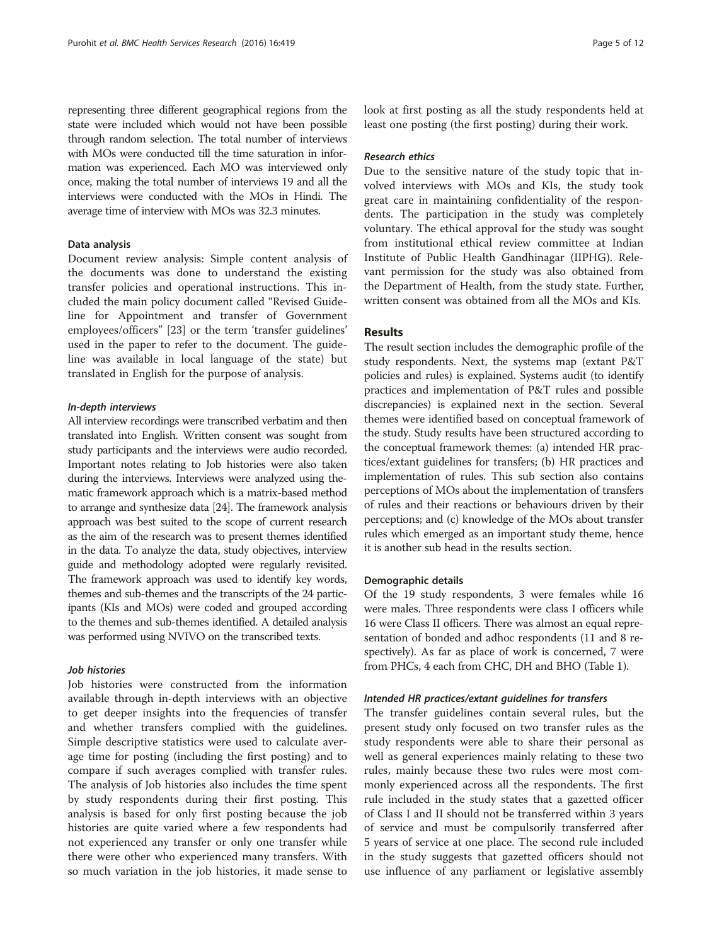representing three different geographical regions from the state were included which would not have been possible through random selection. The total number of interviews with MOs were conducted till the time saturation in information was experienced. Each MO was interviewed only once, making the total number of interviews 19 and all the interviews were conducted with the MOs in Hindi. The average time of interview with MOs was 32.3 minutes.

#### Data analysis

Document review analysis: Simple content analysis of the documents was done to understand the existing transfer policies and operational instructions. This included the main policy document called "Revised Guideline for Appointment and transfer of Government employees/officers" [[23](#page-11-0)] or the term 'transfer guidelines' used in the paper to refer to the document. The guideline was available in local language of the state) but translated in English for the purpose of analysis.

#### In-depth interviews

All interview recordings were transcribed verbatim and then translated into English. Written consent was sought from study participants and the interviews were audio recorded. Important notes relating to Job histories were also taken during the interviews. Interviews were analyzed using thematic framework approach which is a matrix-based method to arrange and synthesize data [[24\]](#page-11-0). The framework analysis approach was best suited to the scope of current research as the aim of the research was to present themes identified in the data. To analyze the data, study objectives, interview guide and methodology adopted were regularly revisited. The framework approach was used to identify key words, themes and sub-themes and the transcripts of the 24 participants (KIs and MOs) were coded and grouped according to the themes and sub-themes identified. A detailed analysis was performed using NVIVO on the transcribed texts.

# Job histories

Job histories were constructed from the information available through in-depth interviews with an objective to get deeper insights into the frequencies of transfer and whether transfers complied with the guidelines. Simple descriptive statistics were used to calculate average time for posting (including the first posting) and to compare if such averages complied with transfer rules. The analysis of Job histories also includes the time spent by study respondents during their first posting. This analysis is based for only first posting because the job histories are quite varied where a few respondents had not experienced any transfer or only one transfer while there were other who experienced many transfers. With so much variation in the job histories, it made sense to look at first posting as all the study respondents held at least one posting (the first posting) during their work.

#### Research ethics

Due to the sensitive nature of the study topic that involved interviews with MOs and KIs, the study took great care in maintaining confidentiality of the respondents. The participation in the study was completely voluntary. The ethical approval for the study was sought from institutional ethical review committee at Indian Institute of Public Health Gandhinagar (IIPHG). Relevant permission for the study was also obtained from the Department of Health, from the study state. Further, written consent was obtained from all the MOs and KIs.

# Results

The result section includes the demographic profile of the study respondents. Next, the systems map (extant P&T policies and rules) is explained. Systems audit (to identify practices and implementation of P&T rules and possible discrepancies) is explained next in the section. Several themes were identified based on conceptual framework of the study. Study results have been structured according to the conceptual framework themes: (a) intended HR practices/extant guidelines for transfers; (b) HR practices and implementation of rules. This sub section also contains perceptions of MOs about the implementation of transfers of rules and their reactions or behaviours driven by their perceptions; and (c) knowledge of the MOs about transfer rules which emerged as an important study theme, hence it is another sub head in the results section.

### Demographic details

Of the 19 study respondents, 3 were females while 16 were males. Three respondents were class I officers while 16 were Class II officers. There was almost an equal representation of bonded and adhoc respondents (11 and 8 respectively). As far as place of work is concerned, 7 were from PHCs, 4 each from CHC, DH and BHO (Table [1](#page-5-0)).

#### Intended HR practices/extant guidelines for transfers

The transfer guidelines contain several rules, but the present study only focused on two transfer rules as the study respondents were able to share their personal as well as general experiences mainly relating to these two rules, mainly because these two rules were most commonly experienced across all the respondents. The first rule included in the study states that a gazetted officer of Class I and II should not be transferred within 3 years of service and must be compulsorily transferred after 5 years of service at one place. The second rule included in the study suggests that gazetted officers should not use influence of any parliament or legislative assembly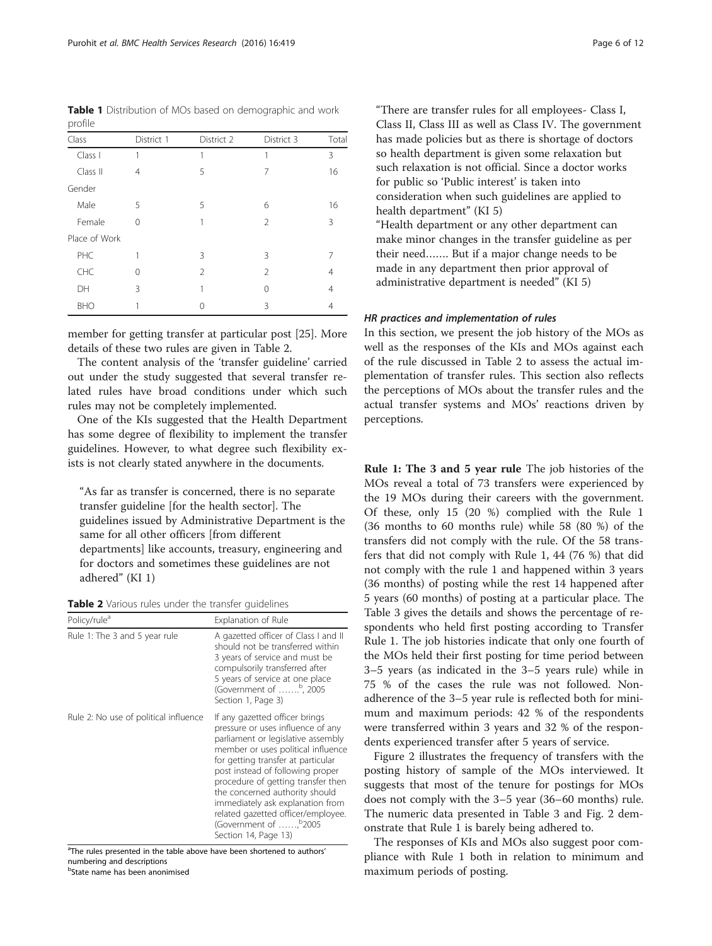<span id="page-5-0"></span>Table 1 Distribution of MOs based on demographic and work profile

| Class         | District 1     | District 2     | District 3     | Total          |  |  |
|---------------|----------------|----------------|----------------|----------------|--|--|
| Class I       |                |                |                | 3              |  |  |
| Class II      | $\overline{4}$ | 5              | 7              | 16             |  |  |
| Gender        |                |                |                |                |  |  |
| Male          | 5              | 5              | 6              | 16             |  |  |
| Female        | $\Omega$       |                | $\overline{2}$ | 3              |  |  |
| Place of Work |                |                |                |                |  |  |
| PHC           |                | 3              | 3              | 7              |  |  |
| <b>CHC</b>    | Ω              | $\mathfrak{D}$ | 2              | $\overline{4}$ |  |  |
| DH            | ζ              |                | 0              | $\overline{4}$ |  |  |
| <b>BHO</b>    |                | ∩              | 3              | 4              |  |  |

member for getting transfer at particular post [\[25\]](#page-11-0). More details of these two rules are given in Table 2.

The content analysis of the 'transfer guideline' carried out under the study suggested that several transfer related rules have broad conditions under which such rules may not be completely implemented.

One of the KIs suggested that the Health Department has some degree of flexibility to implement the transfer guidelines. However, to what degree such flexibility exists is not clearly stated anywhere in the documents.

"As far as transfer is concerned, there is no separate transfer guideline [for the health sector]. The guidelines issued by Administrative Department is the same for all other officers [from different departments] like accounts, treasury, engineering and for doctors and sometimes these guidelines are not adhered" (KI 1)

Table 2 Various rules under the transfer quidelines

| Policy/rule <sup>a</sup>              | Explanation of Rule                                                                                                                                                                                                                                                                                                                                                                                                                     |  |  |
|---------------------------------------|-----------------------------------------------------------------------------------------------------------------------------------------------------------------------------------------------------------------------------------------------------------------------------------------------------------------------------------------------------------------------------------------------------------------------------------------|--|--|
| Rule 1: The 3 and 5 year rule         | A gazetted officer of Class I and II<br>should not be transferred within<br>3 years of service and must be<br>compulsorily transferred after<br>5 years of service at one place<br>(Government of <sup>b</sup> , 2005<br>Section 1, Page 3)                                                                                                                                                                                             |  |  |
| Rule 2: No use of political influence | If any gazetted officer brings<br>pressure or uses influence of any<br>parliament or legislative assembly<br>member or uses political influence<br>for getting transfer at particular<br>post instead of following proper<br>procedure of getting transfer then<br>the concerned authority should<br>immediately ask explanation from<br>related gazetted officer/employee.<br>(Government of <sup>b</sup> 2005<br>Section 14, Page 13) |  |  |

<sup>a</sup>The rules presented in the table above have been shortened to authors' numbering and descriptions

b State name has been anonimised

"There are transfer rules for all employees- Class I, Class II, Class III as well as Class IV. The government has made policies but as there is shortage of doctors so health department is given some relaxation but such relaxation is not official. Since a doctor works for public so 'Public interest' is taken into consideration when such guidelines are applied to health department" (KI 5) "Health department or any other department can make minor changes in the transfer guideline as per their need……. But if a major change needs to be made in any department then prior approval of administrative department is needed" (KI 5)

# HR practices and implementation of rules

In this section, we present the job history of the MOs as well as the responses of the KIs and MOs against each of the rule discussed in Table 2 to assess the actual implementation of transfer rules. This section also reflects the perceptions of MOs about the transfer rules and the actual transfer systems and MOs' reactions driven by perceptions.

Rule 1: The 3 and 5 year rule The job histories of the MOs reveal a total of 73 transfers were experienced by the 19 MOs during their careers with the government. Of these, only 15 (20 %) complied with the Rule 1 (36 months to 60 months rule) while 58 (80 %) of the transfers did not comply with the rule. Of the 58 transfers that did not comply with Rule 1, 44 (76 %) that did not comply with the rule 1 and happened within 3 years (36 months) of posting while the rest 14 happened after 5 years (60 months) of posting at a particular place. The Table [3](#page-6-0) gives the details and shows the percentage of respondents who held first posting according to Transfer Rule 1. The job histories indicate that only one fourth of the MOs held their first posting for time period between 3–5 years (as indicated in the 3–5 years rule) while in 75 % of the cases the rule was not followed. Nonadherence of the 3–5 year rule is reflected both for minimum and maximum periods: 42 % of the respondents were transferred within 3 years and 32 % of the respondents experienced transfer after 5 years of service.

Figure [2](#page-6-0) illustrates the frequency of transfers with the posting history of sample of the MOs interviewed. It suggests that most of the tenure for postings for MOs does not comply with the 3–5 year (36–60 months) rule. The numeric data presented in Table [3](#page-6-0) and Fig. [2](#page-6-0) demonstrate that Rule 1 is barely being adhered to.

The responses of KIs and MOs also suggest poor compliance with Rule 1 both in relation to minimum and maximum periods of posting.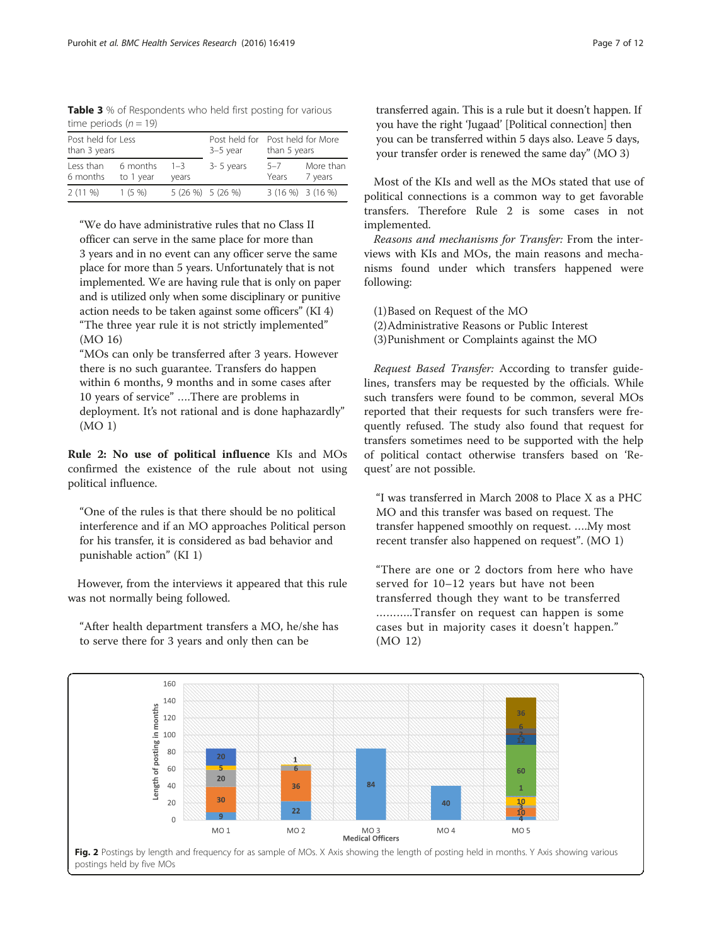<span id="page-6-0"></span>Table 3 % of Respondents who held first posting for various time periods  $(n = 19)$ 

| Post held for Less<br>than 3 years |                       |                  | $3-5$ year        | Post held for Post held for More<br>than 5 years |                      |
|------------------------------------|-----------------------|------------------|-------------------|--------------------------------------------------|----------------------|
| Less than<br>6 months              | 6 months<br>to 1 year | $1 - 3$<br>years | $3 - 5$ years     | $5 - 7$<br>Years                                 | More than<br>7 years |
| $2(11\%)$                          | $1(5\%)$              |                  | 5 (26 %) 5 (26 %) |                                                  | 3 (16 %) 3 (16 %)    |

"We do have administrative rules that no Class II officer can serve in the same place for more than 3 years and in no event can any officer serve the same place for more than 5 years. Unfortunately that is not implemented. We are having rule that is only on paper and is utilized only when some disciplinary or punitive action needs to be taken against some officers" (KI 4) "The three year rule it is not strictly implemented" (MO 16)

"MOs can only be transferred after 3 years. However there is no such guarantee. Transfers do happen within 6 months, 9 months and in some cases after 10 years of service" ….There are problems in deployment. It's not rational and is done haphazardly" (MO 1)

Rule 2: No use of political influence KIs and MOs confirmed the existence of the rule about not using political influence.

"One of the rules is that there should be no political interference and if an MO approaches Political person for his transfer, it is considered as bad behavior and punishable action" (KI 1)

However, from the interviews it appeared that this rule was not normally being followed.

"After health department transfers a MO, he/she has to serve there for 3 years and only then can be

Most of the KIs and well as the MOs stated that use of political connections is a common way to get favorable transfers. Therefore Rule 2 is some cases in not implemented.

Reasons and mechanisms for Transfer: From the interviews with KIs and MOs, the main reasons and mechanisms found under which transfers happened were following:

(1)Based on Request of the MO (2)Administrative Reasons or Public Interest (3)Punishment or Complaints against the MO

Request Based Transfer: According to transfer guidelines, transfers may be requested by the officials. While such transfers were found to be common, several MOs reported that their requests for such transfers were frequently refused. The study also found that request for transfers sometimes need to be supported with the help of political contact otherwise transfers based on 'Request' are not possible.

"I was transferred in March 2008 to Place X as a PHC MO and this transfer was based on request. The transfer happened smoothly on request. ….My most recent transfer also happened on request". (MO 1)

"There are one or 2 doctors from here who have served for 10–12 years but have not been transferred though they want to be transferred ………..Transfer on request can happen is some cases but in majority cases it doesn't happen." (MO 12)

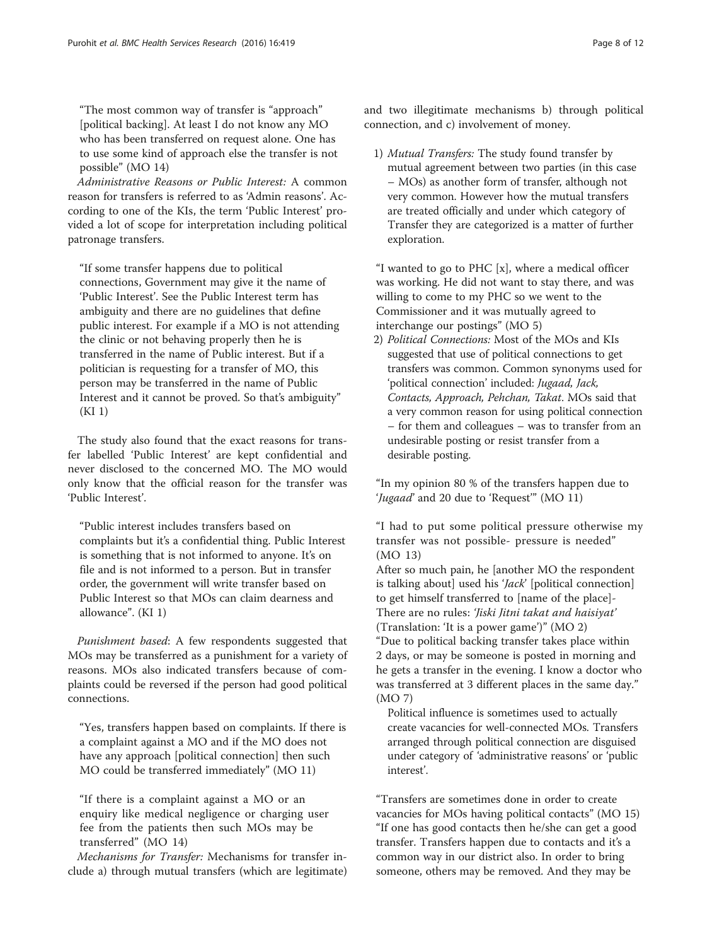"The most common way of transfer is "approach" [political backing]. At least I do not know any MO who has been transferred on request alone. One has to use some kind of approach else the transfer is not possible" (MO 14)

Administrative Reasons or Public Interest: A common reason for transfers is referred to as 'Admin reasons'. According to one of the KIs, the term 'Public Interest' provided a lot of scope for interpretation including political patronage transfers.

"If some transfer happens due to political connections, Government may give it the name of 'Public Interest'. See the Public Interest term has ambiguity and there are no guidelines that define public interest. For example if a MO is not attending the clinic or not behaving properly then he is transferred in the name of Public interest. But if a politician is requesting for a transfer of MO, this person may be transferred in the name of Public Interest and it cannot be proved. So that's ambiguity" (KI 1)

The study also found that the exact reasons for transfer labelled 'Public Interest' are kept confidential and never disclosed to the concerned MO. The MO would only know that the official reason for the transfer was 'Public Interest'.

"Public interest includes transfers based on complaints but it's a confidential thing. Public Interest is something that is not informed to anyone. It's on file and is not informed to a person. But in transfer order, the government will write transfer based on Public Interest so that MOs can claim dearness and allowance". (KI 1)

Punishment based: A few respondents suggested that MOs may be transferred as a punishment for a variety of reasons. MOs also indicated transfers because of complaints could be reversed if the person had good political connections.

"Yes, transfers happen based on complaints. If there is a complaint against a MO and if the MO does not have any approach [political connection] then such MO could be transferred immediately" (MO 11)

"If there is a complaint against a MO or an enquiry like medical negligence or charging user fee from the patients then such MOs may be transferred" (MO 14)

Mechanisms for Transfer: Mechanisms for transfer include a) through mutual transfers (which are legitimate)

and two illegitimate mechanisms b) through political connection, and c) involvement of money.

1) Mutual Transfers: The study found transfer by mutual agreement between two parties (in this case – MOs) as another form of transfer, although not very common. However how the mutual transfers are treated officially and under which category of Transfer they are categorized is a matter of further exploration.

"I wanted to go to PHC  $[x]$ , where a medical officer was working. He did not want to stay there, and was willing to come to my PHC so we went to the Commissioner and it was mutually agreed to interchange our postings" (MO 5)

2) Political Connections: Most of the MOs and KIs suggested that use of political connections to get transfers was common. Common synonyms used for 'political connection' included: Jugaad, Jack, Contacts, Approach, Pehchan, Takat. MOs said that a very common reason for using political connection – for them and colleagues – was to transfer from an undesirable posting or resist transfer from a desirable posting.

"In my opinion 80 % of the transfers happen due to 'Jugaad' and 20 due to 'Request'" (MO 11)

"I had to put some political pressure otherwise my transfer was not possible- pressure is needed" (MO 13)

After so much pain, he [another MO the respondent is talking about] used his 'Jack' [political connection] to get himself transferred to [name of the place]- There are no rules: 'Jiski Jitni takat and haisiyat' (Translation: 'It is a power game')" (MO 2) "Due to political backing transfer takes place within 2 days, or may be someone is posted in morning and he gets a transfer in the evening. I know a doctor who was transferred at 3 different places in the same day." (MO 7)

Political influence is sometimes used to actually create vacancies for well-connected MOs. Transfers arranged through political connection are disguised under category of 'administrative reasons' or 'public interest'.

"Transfers are sometimes done in order to create vacancies for MOs having political contacts" (MO 15) "If one has good contacts then he/she can get a good transfer. Transfers happen due to contacts and it's a common way in our district also. In order to bring someone, others may be removed. And they may be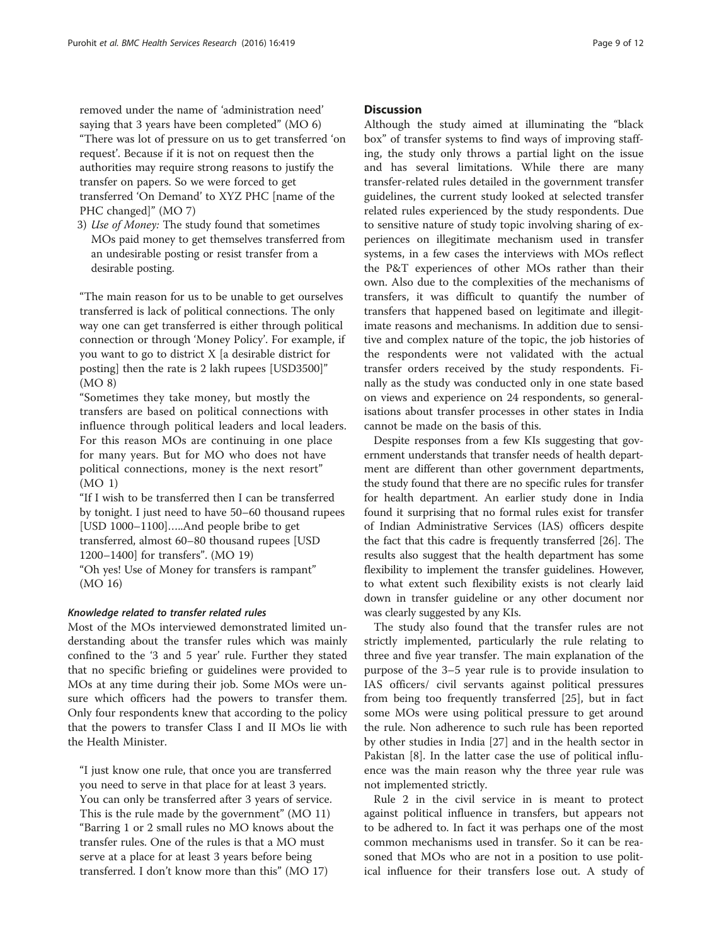removed under the name of 'administration need' saying that 3 years have been completed" (MO 6) "There was lot of pressure on us to get transferred 'on request'. Because if it is not on request then the authorities may require strong reasons to justify the transfer on papers. So we were forced to get transferred 'On Demand' to XYZ PHC [name of the PHC changed]" (MO 7)

3) Use of Money: The study found that sometimes MOs paid money to get themselves transferred from an undesirable posting or resist transfer from a desirable posting.

"The main reason for us to be unable to get ourselves transferred is lack of political connections. The only way one can get transferred is either through political connection or through 'Money Policy'. For example, if you want to go to district X [a desirable district for posting] then the rate is 2 lakh rupees [USD3500]" (MO 8)

"Sometimes they take money, but mostly the transfers are based on political connections with influence through political leaders and local leaders. For this reason MOs are continuing in one place for many years. But for MO who does not have political connections, money is the next resort" (MO 1)

"If I wish to be transferred then I can be transferred by tonight. I just need to have 50–60 thousand rupees [USD 1000–1100].....And people bribe to get transferred, almost 60–80 thousand rupees [USD 1200–1400] for transfers". (MO 19) "Oh yes! Use of Money for transfers is rampant" (MO 16)

# Knowledge related to transfer related rules

Most of the MOs interviewed demonstrated limited understanding about the transfer rules which was mainly confined to the '3 and 5 year' rule. Further they stated that no specific briefing or guidelines were provided to MOs at any time during their job. Some MOs were unsure which officers had the powers to transfer them. Only four respondents knew that according to the policy that the powers to transfer Class I and II MOs lie with the Health Minister.

"I just know one rule, that once you are transferred you need to serve in that place for at least 3 years. You can only be transferred after 3 years of service. This is the rule made by the government" (MO 11) "Barring 1 or 2 small rules no MO knows about the transfer rules. One of the rules is that a MO must serve at a place for at least 3 years before being transferred. I don't know more than this" (MO 17)

# **Discussion**

Although the study aimed at illuminating the "black box" of transfer systems to find ways of improving staffing, the study only throws a partial light on the issue and has several limitations. While there are many transfer-related rules detailed in the government transfer guidelines, the current study looked at selected transfer related rules experienced by the study respondents. Due to sensitive nature of study topic involving sharing of experiences on illegitimate mechanism used in transfer systems, in a few cases the interviews with MOs reflect the P&T experiences of other MOs rather than their own. Also due to the complexities of the mechanisms of transfers, it was difficult to quantify the number of transfers that happened based on legitimate and illegitimate reasons and mechanisms. In addition due to sensitive and complex nature of the topic, the job histories of the respondents were not validated with the actual transfer orders received by the study respondents. Finally as the study was conducted only in one state based on views and experience on 24 respondents, so generalisations about transfer processes in other states in India cannot be made on the basis of this.

Despite responses from a few KIs suggesting that government understands that transfer needs of health department are different than other government departments, the study found that there are no specific rules for transfer for health department. An earlier study done in India found it surprising that no formal rules exist for transfer of Indian Administrative Services (IAS) officers despite the fact that this cadre is frequently transferred [\[26](#page-11-0)]. The results also suggest that the health department has some flexibility to implement the transfer guidelines. However, to what extent such flexibility exists is not clearly laid down in transfer guideline or any other document nor was clearly suggested by any KIs.

The study also found that the transfer rules are not strictly implemented, particularly the rule relating to three and five year transfer. The main explanation of the purpose of the 3–5 year rule is to provide insulation to IAS officers/ civil servants against political pressures from being too frequently transferred [[25\]](#page-11-0), but in fact some MOs were using political pressure to get around the rule. Non adherence to such rule has been reported by other studies in India [\[27](#page-11-0)] and in the health sector in Pakistan [[8\]](#page-11-0). In the latter case the use of political influence was the main reason why the three year rule was not implemented strictly.

Rule 2 in the civil service in is meant to protect against political influence in transfers, but appears not to be adhered to. In fact it was perhaps one of the most common mechanisms used in transfer. So it can be reasoned that MOs who are not in a position to use political influence for their transfers lose out. A study of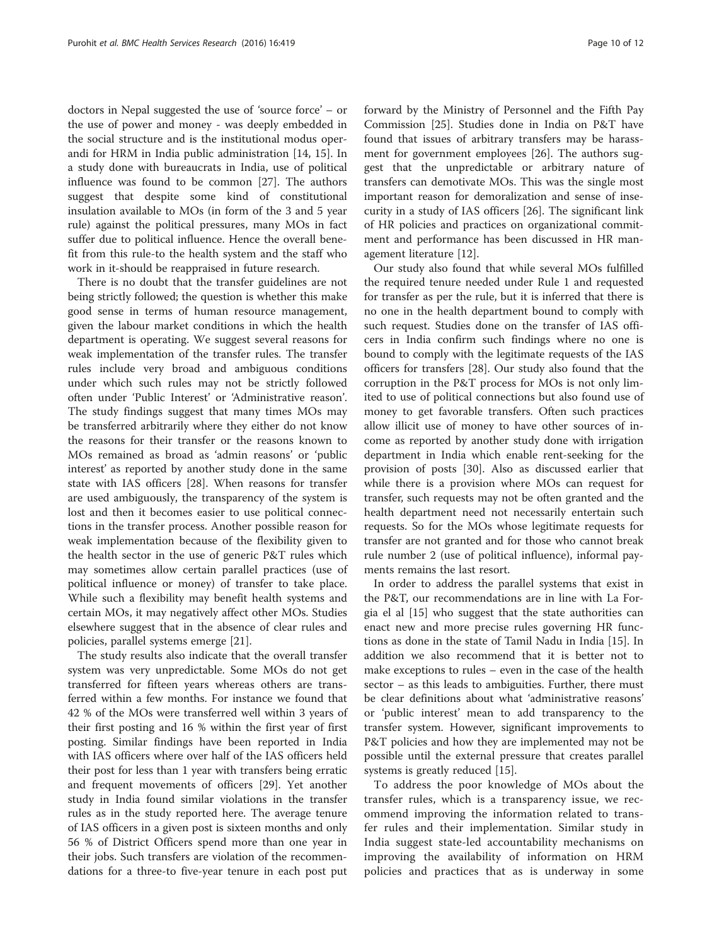doctors in Nepal suggested the use of 'source force' – or the use of power and money - was deeply embedded in the social structure and is the institutional modus operandi for HRM in India public administration [\[14](#page-11-0), [15](#page-11-0)]. In a study done with bureaucrats in India, use of political influence was found to be common [[27\]](#page-11-0). The authors suggest that despite some kind of constitutional insulation available to MOs (in form of the 3 and 5 year rule) against the political pressures, many MOs in fact suffer due to political influence. Hence the overall benefit from this rule-to the health system and the staff who work in it-should be reappraised in future research.

There is no doubt that the transfer guidelines are not being strictly followed; the question is whether this make good sense in terms of human resource management, given the labour market conditions in which the health department is operating. We suggest several reasons for weak implementation of the transfer rules. The transfer rules include very broad and ambiguous conditions under which such rules may not be strictly followed often under 'Public Interest' or 'Administrative reason'. The study findings suggest that many times MOs may be transferred arbitrarily where they either do not know the reasons for their transfer or the reasons known to MOs remained as broad as 'admin reasons' or 'public interest' as reported by another study done in the same state with IAS officers [\[28\]](#page-11-0). When reasons for transfer are used ambiguously, the transparency of the system is lost and then it becomes easier to use political connections in the transfer process. Another possible reason for weak implementation because of the flexibility given to the health sector in the use of generic P&T rules which may sometimes allow certain parallel practices (use of political influence or money) of transfer to take place. While such a flexibility may benefit health systems and certain MOs, it may negatively affect other MOs. Studies elsewhere suggest that in the absence of clear rules and policies, parallel systems emerge [[21](#page-11-0)].

The study results also indicate that the overall transfer system was very unpredictable. Some MOs do not get transferred for fifteen years whereas others are transferred within a few months. For instance we found that 42 % of the MOs were transferred well within 3 years of their first posting and 16 % within the first year of first posting. Similar findings have been reported in India with IAS officers where over half of the IAS officers held their post for less than 1 year with transfers being erratic and frequent movements of officers [[29\]](#page-11-0). Yet another study in India found similar violations in the transfer rules as in the study reported here. The average tenure of IAS officers in a given post is sixteen months and only 56 % of District Officers spend more than one year in their jobs. Such transfers are violation of the recommendations for a three-to five-year tenure in each post put forward by the Ministry of Personnel and the Fifth Pay Commission [[25\]](#page-11-0). Studies done in India on P&T have found that issues of arbitrary transfers may be harassment for government employees [[26](#page-11-0)]. The authors suggest that the unpredictable or arbitrary nature of transfers can demotivate MOs. This was the single most important reason for demoralization and sense of insecurity in a study of IAS officers [[26](#page-11-0)]. The significant link of HR policies and practices on organizational commitment and performance has been discussed in HR management literature [[12\]](#page-11-0).

Our study also found that while several MOs fulfilled the required tenure needed under Rule 1 and requested for transfer as per the rule, but it is inferred that there is no one in the health department bound to comply with such request. Studies done on the transfer of IAS officers in India confirm such findings where no one is bound to comply with the legitimate requests of the IAS officers for transfers [[28\]](#page-11-0). Our study also found that the corruption in the P&T process for MOs is not only limited to use of political connections but also found use of money to get favorable transfers. Often such practices allow illicit use of money to have other sources of income as reported by another study done with irrigation department in India which enable rent-seeking for the provision of posts [[30](#page-11-0)]. Also as discussed earlier that while there is a provision where MOs can request for transfer, such requests may not be often granted and the health department need not necessarily entertain such requests. So for the MOs whose legitimate requests for transfer are not granted and for those who cannot break rule number 2 (use of political influence), informal payments remains the last resort.

In order to address the parallel systems that exist in the P&T, our recommendations are in line with La Forgia el al [\[15](#page-11-0)] who suggest that the state authorities can enact new and more precise rules governing HR functions as done in the state of Tamil Nadu in India [[15\]](#page-11-0). In addition we also recommend that it is better not to make exceptions to rules – even in the case of the health sector – as this leads to ambiguities. Further, there must be clear definitions about what 'administrative reasons' or 'public interest' mean to add transparency to the transfer system. However, significant improvements to P&T policies and how they are implemented may not be possible until the external pressure that creates parallel systems is greatly reduced [\[15](#page-11-0)].

To address the poor knowledge of MOs about the transfer rules, which is a transparency issue, we recommend improving the information related to transfer rules and their implementation. Similar study in India suggest state-led accountability mechanisms on improving the availability of information on HRM policies and practices that as is underway in some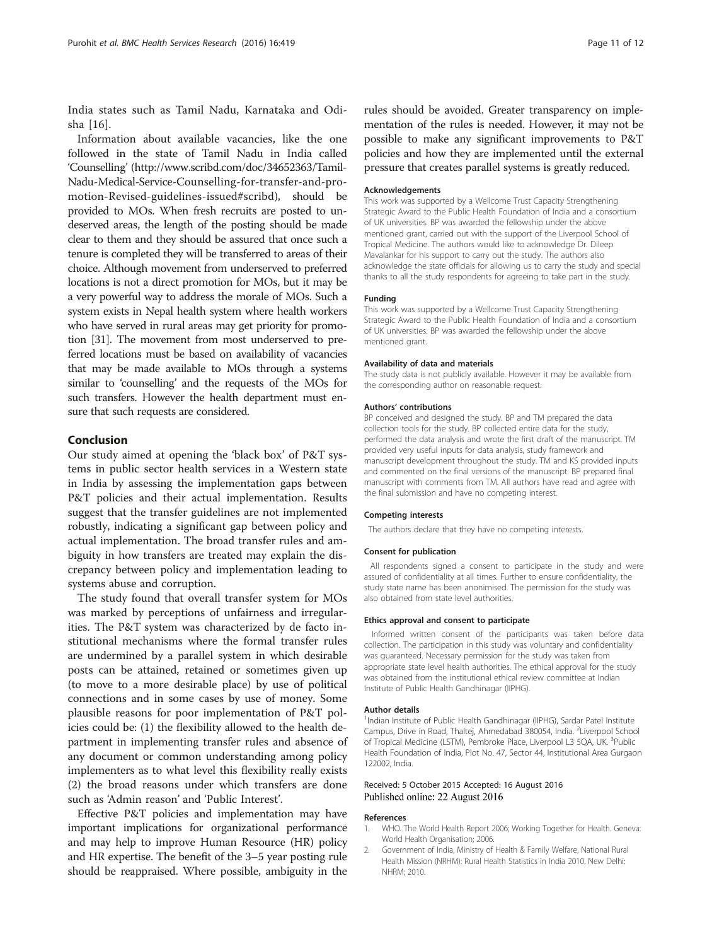<span id="page-10-0"></span>India states such as Tamil Nadu, Karnataka and Odisha [\[16\]](#page-11-0).

Information about available vacancies, like the one followed in the state of Tamil Nadu in India called 'Counselling' ([http://www.scribd.com/doc/34652363/Tamil-](http://www.scribd.com/doc/34652363/Tamil-Nadu-Medical-Service-Counselling-for-transfer-and-promotion-Revised-guidelines-issued#scribd)[Nadu-Medical-Service-Counselling-for-transfer-and-pro](http://www.scribd.com/doc/34652363/Tamil-Nadu-Medical-Service-Counselling-for-transfer-and-promotion-Revised-guidelines-issued#scribd)[motion-Revised-guidelines-issued#scribd\)](http://www.scribd.com/doc/34652363/Tamil-Nadu-Medical-Service-Counselling-for-transfer-and-promotion-Revised-guidelines-issued#scribd), should be provided to MOs. When fresh recruits are posted to undeserved areas, the length of the posting should be made clear to them and they should be assured that once such a tenure is completed they will be transferred to areas of their choice. Although movement from underserved to preferred locations is not a direct promotion for MOs, but it may be a very powerful way to address the morale of MOs. Such a system exists in Nepal health system where health workers who have served in rural areas may get priority for promotion [\[31\]](#page-11-0). The movement from most underserved to preferred locations must be based on availability of vacancies that may be made available to MOs through a systems similar to 'counselling' and the requests of the MOs for such transfers. However the health department must ensure that such requests are considered.

# Conclusion

Our study aimed at opening the 'black box' of P&T systems in public sector health services in a Western state in India by assessing the implementation gaps between P&T policies and their actual implementation. Results suggest that the transfer guidelines are not implemented robustly, indicating a significant gap between policy and actual implementation. The broad transfer rules and ambiguity in how transfers are treated may explain the discrepancy between policy and implementation leading to systems abuse and corruption.

The study found that overall transfer system for MOs was marked by perceptions of unfairness and irregularities. The P&T system was characterized by de facto institutional mechanisms where the formal transfer rules are undermined by a parallel system in which desirable posts can be attained, retained or sometimes given up (to move to a more desirable place) by use of political connections and in some cases by use of money. Some plausible reasons for poor implementation of P&T policies could be: (1) the flexibility allowed to the health department in implementing transfer rules and absence of any document or common understanding among policy implementers as to what level this flexibility really exists (2) the broad reasons under which transfers are done such as 'Admin reason' and 'Public Interest'.

Effective P&T policies and implementation may have important implications for organizational performance and may help to improve Human Resource (HR) policy and HR expertise. The benefit of the 3–5 year posting rule should be reappraised. Where possible, ambiguity in the rules should be avoided. Greater transparency on implementation of the rules is needed. However, it may not be possible to make any significant improvements to P&T policies and how they are implemented until the external pressure that creates parallel systems is greatly reduced.

#### Acknowledgements

This work was supported by a Wellcome Trust Capacity Strengthening Strategic Award to the Public Health Foundation of India and a consortium of UK universities. BP was awarded the fellowship under the above mentioned grant, carried out with the support of the Liverpool School of Tropical Medicine. The authors would like to acknowledge Dr. Dileep Mavalankar for his support to carry out the study. The authors also acknowledge the state officials for allowing us to carry the study and special thanks to all the study respondents for agreeing to take part in the study.

#### Funding

This work was supported by a Wellcome Trust Capacity Strengthening Strategic Award to the Public Health Foundation of India and a consortium of UK universities. BP was awarded the fellowship under the above mentioned grant.

#### Availability of data and materials

The study data is not publicly available. However it may be available from the corresponding author on reasonable request.

#### Authors' contributions

BP conceived and designed the study. BP and TM prepared the data collection tools for the study. BP collected entire data for the study, performed the data analysis and wrote the first draft of the manuscript. TM provided very useful inputs for data analysis, study framework and manuscript development throughout the study. TM and KS provided inputs and commented on the final versions of the manuscript. BP prepared final manuscript with comments from TM. All authors have read and agree with the final submission and have no competing interest.

#### Competing interests

The authors declare that they have no competing interests.

#### Consent for publication

All respondents signed a consent to participate in the study and were assured of confidentiality at all times. Further to ensure confidentiality, the study state name has been anonimised. The permission for the study was also obtained from state level authorities.

#### Ethics approval and consent to participate

Informed written consent of the participants was taken before data collection. The participation in this study was voluntary and confidentiality was guaranteed. Necessary permission for the study was taken from appropriate state level health authorities. The ethical approval for the study was obtained from the institutional ethical review committee at Indian Institute of Public Health Gandhinagar (IIPHG).

#### Author details

<sup>1</sup>Indian Institute of Public Health Gandhinagar (IIPHG), Sardar Patel Institute Campus, Drive in Road, Thaltej, Ahmedabad 380054, India. <sup>2</sup>Liverpool School of Tropical Medicine (LSTM), Pembroke Place, Liverpool L3 5QA, UK. <sup>3</sup>Public Health Foundation of India, Plot No. 47, Sector 44, Institutional Area Gurgaon 122002, India.

#### Received: 5 October 2015 Accepted: 16 August 2016 Published online: 22 August 2016

#### References

- 1. WHO. The World Health Report 2006; Working Together for Health. Geneva: World Health Organisation; 2006.
- 2. Government of India, Ministry of Health & Family Welfare, National Rural Health Mission (NRHM): Rural Health Statistics in India 2010. New Delhi: NHRM; 2010.